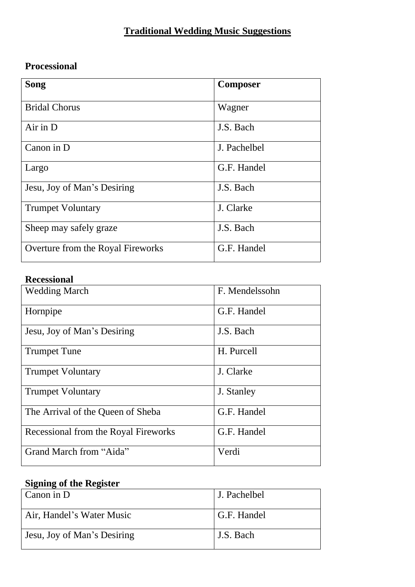## **Traditional Wedding Music Suggestions**

## **Processional**

| Song                              | <b>Composer</b> |
|-----------------------------------|-----------------|
| <b>Bridal Chorus</b>              | Wagner          |
| $Air$ in $D$                      | J.S. Bach       |
| Canon in D                        | J. Pachelbel    |
| Largo                             | G.F. Handel     |
| Jesu, Joy of Man's Desiring       | J.S. Bach       |
| <b>Trumpet Voluntary</b>          | J. Clarke       |
| Sheep may safely graze            | J.S. Bach       |
| Overture from the Royal Fireworks | G.F. Handel     |

## **Recessional**

| <b>Wedding March</b>                 | F. Mendelssohn |
|--------------------------------------|----------------|
| Hornpipe                             | G.F. Handel    |
| Jesu, Joy of Man's Desiring          | J.S. Bach      |
| <b>Trumpet Tune</b>                  | H. Purcell     |
| <b>Trumpet Voluntary</b>             | J. Clarke      |
| <b>Trumpet Voluntary</b>             | J. Stanley     |
| The Arrival of the Queen of Sheba    | G.F. Handel    |
| Recessional from the Royal Fireworks | G.F. Handel    |
| Grand March from "Aida"              | Verdi          |

## **Signing of the Register**

| Canon in D                  | J. Pachelbel |
|-----------------------------|--------------|
| Air, Handel's Water Music   | G.F. Handel  |
| Jesu, Joy of Man's Desiring | J.S. Bach    |